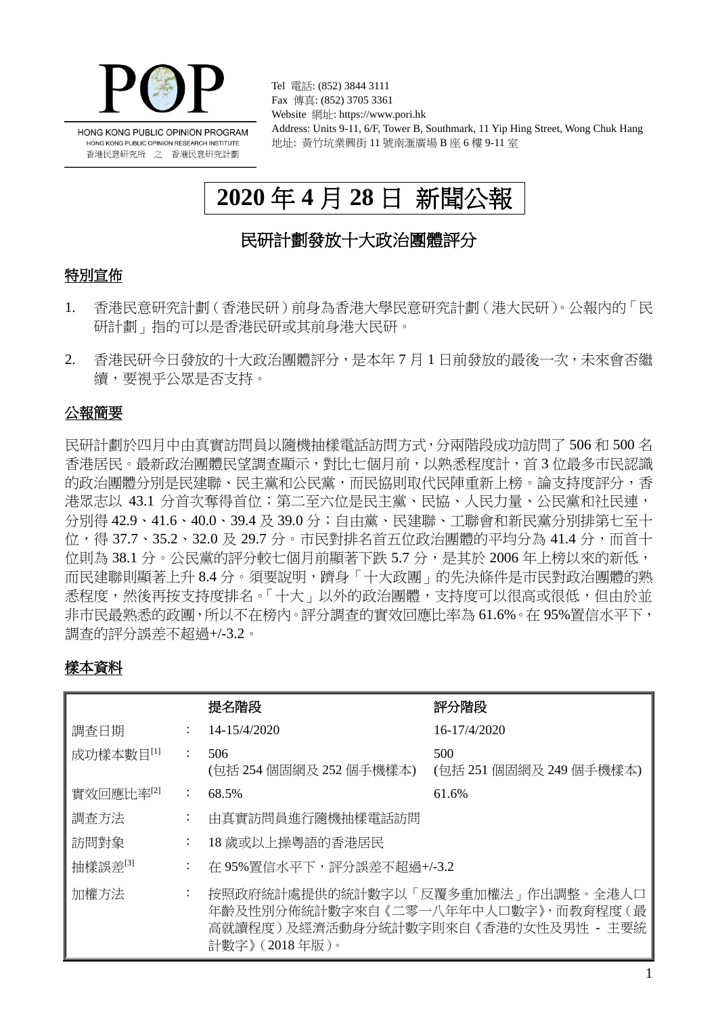

Tel 電話: (852) 3844 3111 Fax 傳真: (852) 3705 3361 Website 網址: https://www.pori.hk Address: Units 9-11, 6/F, Tower B, Southmark, 11 Yip Hing Street, Wong Chuk Hang 地址: 黃竹坑業興街 11 號南滙廣場 B 座 6 樓 9-11 室

# **2020** 年 **4** 月 **28** 日 新聞公報

# 民研計劃發放十大政治團體評分

### 特別宣佈

- 1. 香港民意研究計劃(香港民研)前身為香港大學民意研究計劃(港大民研)。公報內的「民 研計劃」指的可以是香港民研或其前身港大民研。
- 2. 香港民研今日發放的十大政治團體評分,是本年 7 月 1 日前發放的最後一次,未來會否繼 續,要視乎公眾是否支持。

### 公報簡要

民研計劃於四月中由真實訪問員以隨機抽樣電話訪問方式,分兩階段成功訪問了 506 和 500 名 香港居民。最新政治團體民望調查顯示,對比七個月前,以熟悉程度計,首 3 位最多市民認識 的政治團體分別是民建聯、民主黨和公民黨,而民協則取代民陣重新上榜。論支持度評分,香 港眾志以 43.1 分首次奪得首位;第二至六位是民主黨、民協、人民力量、公民黨和社民連, 分別得 42.9、41.6、40.0、39.4 及 39.0 分;自由黨、民建聯、工聯會和新民黨分別排第七至十 位,得 37.7、35.2、32.0 及 29.7 分。市民對排名首五位政治團體的平均分為 41.4 分,而首十 位則為 38.1 分。公民黨的評分較七個月前顯著下跌 5.7 分,是其於 2006 年上榜以來的新低, 而民建聯則顯著上升 8.4 分。須要說明,躋身「十大政團」的先決條件是市民對政治團體的熟 悉程度,然後再按支持度排名。「十大」以外的政治團體,支持度可以很高或很低,但由於並 非市民最熟悉的政團,所以不在榜內。評分調杳的實效回應比率為 61.6%。在 95%置信水平下, 調查的評分誤差不超過+/-3.2。

### 樣本資料

|           |   | 提名階段                                                                                                                                 | 評分階段                           |
|-----------|---|--------------------------------------------------------------------------------------------------------------------------------------|--------------------------------|
| 調査日期      |   | 14-15/4/2020                                                                                                                         | 16-17/4/2020                   |
| 成功樣本數目[1] |   | 506<br>(包括 254 個固網及 252 個手機樣本)                                                                                                       | 500<br>(包括 251 個固網及 249 個手機樣本) |
| 實效回應比率『2』 | ÷ | 68.5%                                                                                                                                | 61.6%                          |
| 調査方法      | ÷ | 由真實訪問員進行隨機抽樣電話訪問                                                                                                                     |                                |
| 訪問對象      | ÷ | 18 歲或以上操粵語的香港居民                                                                                                                      |                                |
| 抽樣誤差[3]   | ÷ | 在 95%置信水平下,評分誤差不超過+/-3.2                                                                                                             |                                |
| 加權方法      | ÷ | 按照政府統計處提供的統計數字以「反覆多重加權法」作出調整。全港人口<br>年齡及性別分佈統計數字來自《二零一八年年中人口數字》,而教育程度(最<br>高就讀程度 ) 及經濟活動身分統計數字則來自 《香港的女性及男性 - 主要統<br>計數字》 (2018年版 )。 |                                |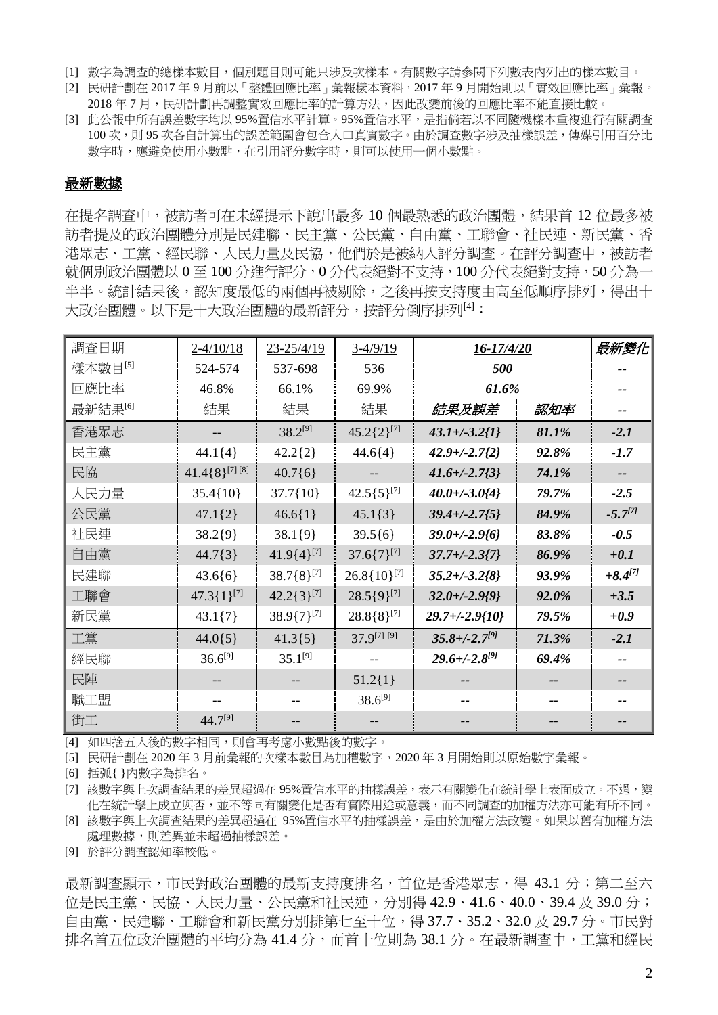- [1] 數字為調查的總樣本數目,個別題目則可能只涉及次樣本。有關數字請參閱下列數表內列出的樣本數目。
- [2] 民研計劃在 2017 年 9 月前以「整體回應比率」彙報樣本資料,2017 年 9 月開始則以「實效回應比率」彙報。 2018年7月,民研計劃再調整實效回應比率的計算方法,因此改變前後的回應比率不能直接比較。
- [3] 此公報中所有誤差數字均以 95%置信水平計算。95%置信水平,是指倘若以不同隨機樣本重複進行有關調查 100 次,則 95 次各自計算出的誤差範圍會包含人口真實數字。由於調査數字涉及抽樣誤差,傳媒引用百分比 數字時,應避免使用小數點,在引用評分數字時,則可以使用一個小數點。

#### 最新數據

在提名調查中,被訪者可在未經提示下說出最多 10 個最熟悉的政治團體,結果首 12 位最多被 訪者提及的政治團體分別是民建聯、民主黨、公民黨、自由黨、工聯會、社民連、新民黨、香 港眾志、工黨、經民聯、人民力量及民協,他們於是被納入評分調查。在評分調查中,被訪者 就個別政治團體以 0 至 100 分進行評分, 0 分代表絕對不支持, 100 分代表絕對支持, 50 分為一 半半。統計結果後,認知度最低的兩個再被剔除,之後再按支持度由高至低順序排列,得出十 大政治團體。以下是十大政治團體的最新評分,按評分倒序排列[4]:

| 調查日期                | $2 - 4/10/18$         | 23-25/4/19        | $3-4/9/19$              | 16-17/4/20           |       | 最新變化         |
|---------------------|-----------------------|-------------------|-------------------------|----------------------|-------|--------------|
| 樣本數目[5]             | 524-574               | 537-698           | 536                     | 500                  |       |              |
| 回應比率                | 46.8%                 | 66.1%             | 69.9%                   | 61.6%                |       |              |
| 最新結果 <sup>[6]</sup> | 結果                    | 結果                | 結果                      | 結果及誤差                | 認知率   |              |
| 香港眾志                |                       | $38.2^{[9]}$      | $45.2\{2\}^{[7]}$       | $43.1 + (-3.2)$      | 81.1% | $-2.1$       |
| 民主黨                 | $44.1{4}$             | $42.2{2}$         | $44.6{4}$               | $42.9 + (-2.7)$      | 92.8% | $-1.7$       |
| 民協                  | $41.4\{8\}^{[7] [8]}$ | $40.7\{6\}$       | --                      | $41.6 + (-2.7/3)$    | 74.1% |              |
| 人民力量                | $35.4\{10\}$          | $37.7\{10\}$      | $42.5\{5\}^{[7]}$       | $40.0 + (-3.044)$    | 79.7% | $-2.5$       |
| 公民黨                 | $47.1\{2\}$           | $46.6{1}$         | $45.1\{3\}$             | $39.4 + (-2.75)$     | 84.9% | $-5.7^{[7]}$ |
| 社民連                 | $38.2{9}$             | $38.1{9}$         | $39.5{6}$               | $39.0 + (-2.96)$     | 83.8% | $-0.5$       |
| 自由黨                 | 44.7{3}               | $41.9{4}^{[7]}$   | $37.6\{7\}^{[7]}$       | $37.7 + (-2.3)7$     | 86.9% | $+0.1$       |
| 民建聯                 | $43.6{6}$             | $38.7\{8\}^{[7]}$ | $26.8\{10\}^{[7]}$      | $35.2 + (-3.2/8)$    | 93.9% | $+8.4^{[7]}$ |
| 工聯會                 | $47.3\{1\}^{[7]}$     | $42.2\{3\}^{[7]}$ | $28.5\{9\}^{[7]}$       | $32.0 + (-2.9)^9$    | 92.0% | $+3.5$       |
| 新民黨                 | $43.1\{7\}$           | $38.9{7}^{[7]}$   | $28.8\{8\}^{[7]}$       | $29.7 + (-2.9)10$    | 79.5% | $+0.9$       |
| 工黨                  | $44.0\{5\}$           | $41.3{5}$         | 37.9 <sup>[7]</sup> [9] | $35.8 + (-2.7^{97})$ | 71.3% | $-2.1$       |
| 經民聯                 | $36.6^{[9]}$          | $35.1^{[9]}$      |                         | $29.6 + (-2.8^{97})$ | 69.4% |              |
| 民陣                  |                       |                   | $51.2{1}$               |                      |       |              |
| 職工盟                 |                       |                   | $38.6^{[9]}$            |                      |       |              |
| 街工                  | $44.7^{[9]}$          |                   |                         |                      |       |              |

[4] 如四捨五入後的數字相同,則會再考慮小數點後的數字。

[5] 民研計劃在 2020 年 3 月前彙報的次樣本數目為加權數字,2020 年 3 月開始則以原始數字彙報。

[6] 括弧{ }內數字為排名。

[7] 該數字與上次調查結果的差異超過在 95%置信水平的抽樣誤差,表示有關變化在統計學上表面成立。不過,變 化在統計學上成立與否,並不等同有關變化是否有實際用途或意義,而不同調查的加權方法亦可能有所不同。

- [8] 該數字與上次調查結果的差異超過在 95%置信水平的抽樣誤差,是由於加權方法改變。如果以舊有加權方法 處理數據,則差異並未超過抽樣誤差。
- [9] 於評分調查認知率較低。

最新調查顯示,市民對政治團體的最新支持度排名,首位是香港眾志,得 43.1 分;第二至六 位是民主黨、民協、人民力量、公民黨和社民連,分別得 42.9、41.6、40.0、39.4 及 39.0 分; 自由黨、民建聯、工聯會和新民黨分別排第七至十位,得 37.7、35.2、32.0 及 29.7 分。市民對 排名首五位政治團體的平均分為 41.4 分,而首十位則為 38.1 分。在最新調查中,工黨和經民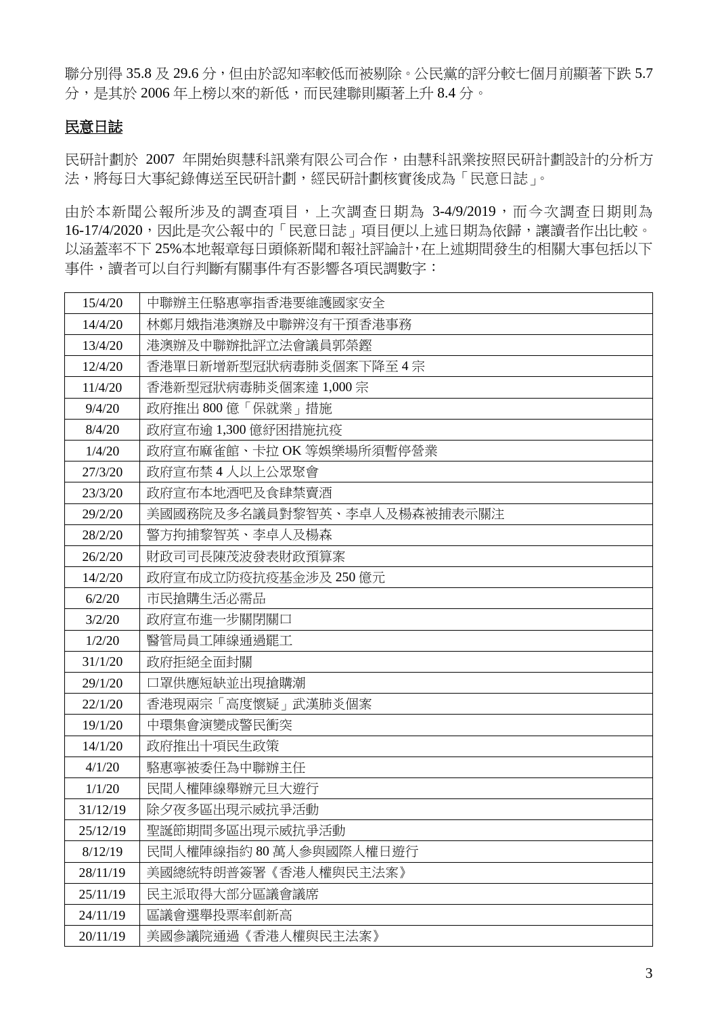聯分別得 35.8 及 29.6 分, 但由於認知率較低而被剔除。公民黨的評分較七個月前顯著下跌 5.7 分,是其於 2006年上榜以來的新低,而民建聯則顯著上升 8.4 分。

### 民意日誌

民研計劃於 2007 年開始與慧科訊業有限公司合作,由慧科訊業按照民研計劃設計的分析方 法,將每日大事紀錄傳送至民研計劃,經民研計劃核實後成為「民意日誌」。

由於本新聞公報所涉及的調查項目,上次調查日期為 3-4/9/2019,而今次調查日期則為 16-17/4/2020,因此是次公報中的「民意日誌」項目便以上述日期為依歸,讓讀者作出比較。 以涵蓋率不下 25%本地報章每日頭條新聞和報社評論計,在上述期間發生的相關大事包括以下 事件,讀者可以自行判斷有關事件有否影響各項民調數字:

| 15/4/20  | 中聯辦主任駱惠寧指香港要維護國家安全          |
|----------|-----------------------------|
| 14/4/20  | 林鄭月娥指港澳辦及中聯辨沒有干預香港事務        |
| 13/4/20  | 港澳辦及中聯辦批評立法會議員郭榮鏗           |
| 12/4/20  | 香港單日新增新型冠狀病毒肺炎個案下降至4宗       |
| 11/4/20  | 香港新型冠狀病毒肺炎個案達 1,000宗        |
| 9/4/20   | 政府推出 800 億「保就業」措施           |
| 8/4/20   | 政府宣布逾 1,300 億紓困措施抗疫         |
| 1/4/20   | 政府宣布麻雀館、卡拉 OK 等娛樂場所須暫停營業    |
| 27/3/20  | 政府宣布禁 4 人以上公眾聚會             |
| 23/3/20  | 政府宣布本地酒吧及食肆禁賣酒              |
| 29/2/20  | 美國國務院及多名議員對黎智英、李卓人及楊森被捕表示關注 |
| 28/2/20  | 警方拘捕黎智英、李卓人及楊森              |
| 26/2/20  | 財政司司長陳茂波發表財政預算案             |
| 14/2/20  | 政府宣布成立防疫抗疫基金涉及 250 億元       |
| 6/2/20   | 市民搶購生活必需品                   |
| 3/2/20   | 政府宣布進一步關閉關口                 |
| 1/2/20   | 醫管局員工陣線通過罷工                 |
| 31/1/20  | 政府拒絕全面封關                    |
| 29/1/20  | 口罩供應短缺並出現搶購潮                |
| 22/1/20  | 香港現兩宗「高度懷疑」武漢肺炎個案           |
| 19/1/20  | 中環集會演變成警民衝突                 |
| 14/1/20  | 政府推出十項民生政策                  |
| 4/1/20   | 駱惠寧被委任為中聯辦主任                |
| 1/1/20   | 民間人權陣線舉辦元旦大遊行               |
| 31/12/19 | 除夕夜多區出現示威抗爭活動               |
| 25/12/19 | 聖誕節期間多區出現示威抗爭活動             |
| 8/12/19  | 民間人權陣線指約 80 萬人參與國際人權日遊行     |
| 28/11/19 | 美國總統特朗普簽署《香港人權與民主法案》        |
| 25/11/19 | 民主派取得大部分區議會議席               |
| 24/11/19 | 區議會選舉投票率創新高                 |
| 20/11/19 | 美國參議院通過《香港人權與民主法案》          |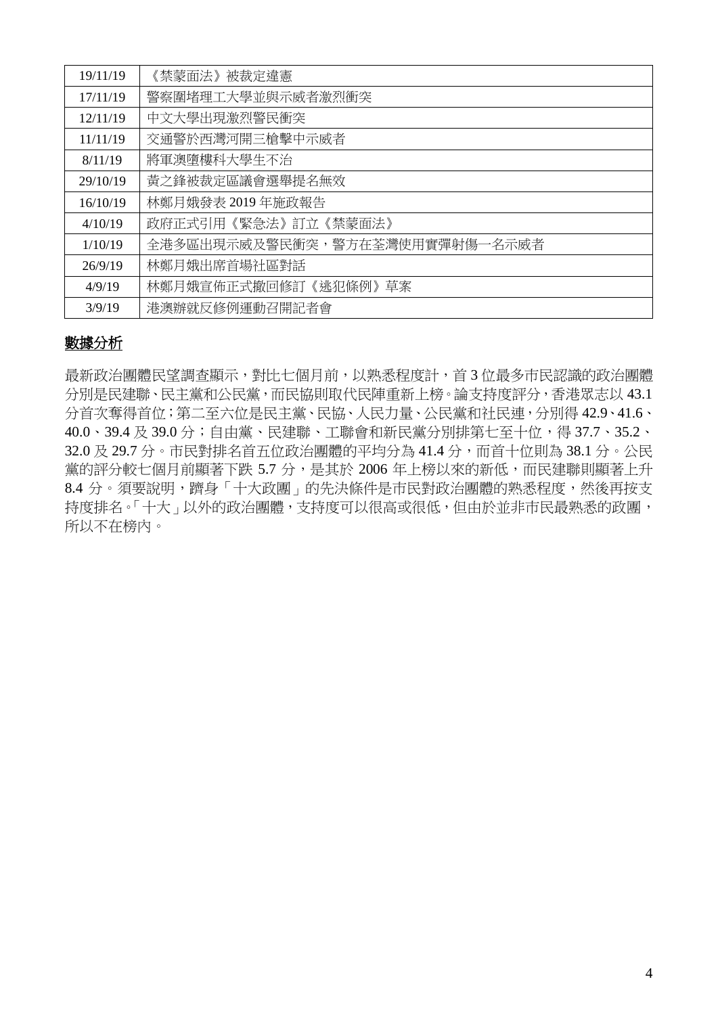| 19/11/19 | 《禁蒙面法》被裁定違憲                    |
|----------|--------------------------------|
| 17/11/19 | 警察圍堵理工大學並與示威者激烈衝突              |
| 12/11/19 | 中文大學出現激烈警民衝突                   |
| 11/11/19 | 交通警於西灣河開三槍擊中示威者                |
| 8/11/19  | 將軍澳墮樓科大學生不治                    |
| 29/10/19 | 黃之鋒被裁定區議會選舉提名無效                |
| 16/10/19 | 林鄭月娥發表 2019 年施政報告              |
| 4/10/19  | 政府正式引用《緊急法》訂立《禁蒙面法》            |
| 1/10/19  | 全港多區出現示威及警民衝突,警方在荃灣使用實彈射傷一名示威者 |
| 26/9/19  | 林鄭月娥出席首場社區對話                   |
| 4/9/19   | 林鄭月娥宣佈正式撤回修訂《逃犯條例》草案           |
| 3/9/19   | 港澳辦就反修例運動召開記者會                 |

## 數據分析

最新政治團體民望調查顯示,對比七個月前,以熟悉程度計,首3位最多市民認識的政治團體 分別是民建聯、民主黨和公民黨,而民協則取代民陣重新上榜。論支持度評分,香港眾志以 43.1 分首次奪得首位;第二至六位是民主黨、民協、人民力量、公民黨和社民連,分別得 42.9、41.6、 40.0、39.4 及 39.0 分;自由黨、民建聯、工聯會和新民黨分別排第七至十位,得 37.7、35.2、 32.0 及 29.7 分。市民對排名首五位政治團體的平均分為 41.4 分,而首十位則為 38.1 分。公民 黨的評分較七個月前顯著下跌 5.7 分,是其於 2006年上榜以來的新低,而民建聯則顯著上升 8.4 分。須要說明,躋身「十大政團」的先決條件是市民對政治團體的熟悉程度,然後再按支 持度排名。「十大」以外的政治團體,支持度可以很高或很低,但由於並非市民最熟悉的政團, 所以不在榜內。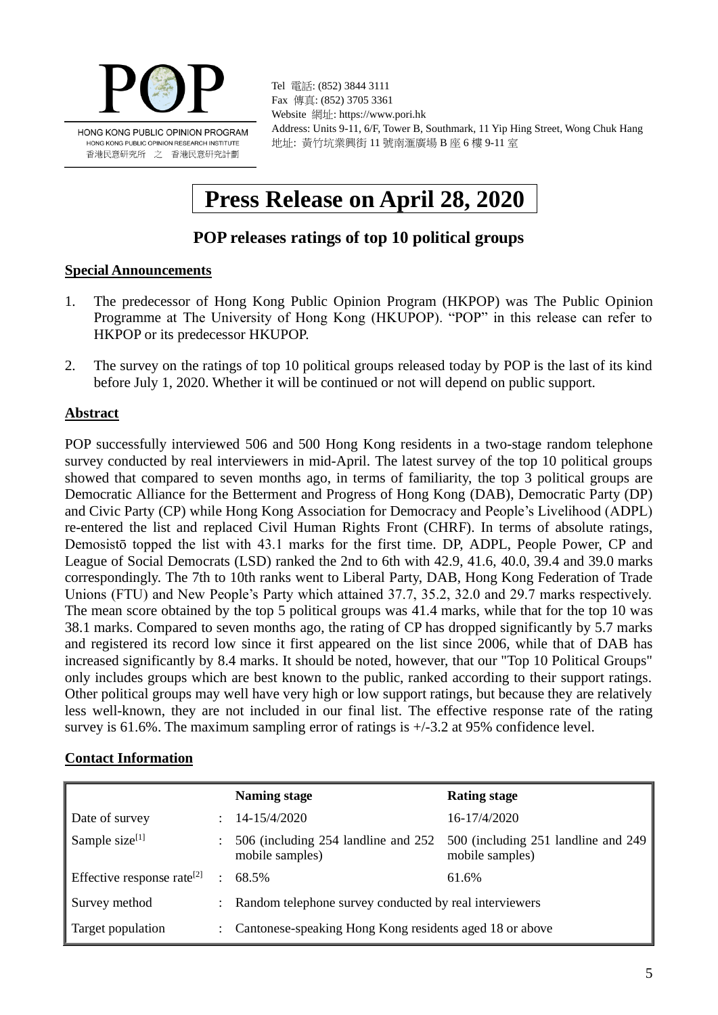

Tel 電話: (852) 3844 3111 Fax 傳真: (852) 3705 3361 Website 網址: https://www.pori.hk Address: Units 9-11, 6/F, Tower B, Southmark, 11 Yip Hing Street, Wong Chuk Hang 地址: 黃竹坑業興街 11 號南滙廣場 B 座 6 樓 9-11 室

# **Press Release on April 28, 2020**

## **POP releases ratings of top 10 political groups**

### **Special Announcements**

- 1. The predecessor of Hong Kong Public Opinion Program (HKPOP) was The Public Opinion Programme at The University of Hong Kong (HKUPOP). "POP" in this release can refer to HKPOP or its predecessor HKUPOP.
- 2. The survey on the ratings of top 10 political groups released today by POP is the last of its kind before July 1, 2020. Whether it will be continued or not will depend on public support.

### **Abstract**

POP successfully interviewed 506 and 500 Hong Kong residents in a two-stage random telephone survey conducted by real interviewers in mid-April. The latest survey of the top 10 political groups showed that compared to seven months ago, in terms of familiarity, the top 3 political groups are Democratic Alliance for the Betterment and Progress of Hong Kong (DAB), Democratic Party (DP) and Civic Party (CP) while Hong Kong Association for Democracy and People's Livelihood (ADPL) re-entered the list and replaced Civil Human Rights Front (CHRF). In terms of absolute ratings, Demosistō topped the list with 43.1 marks for the first time. DP, ADPL, People Power, CP and League of Social Democrats (LSD) ranked the 2nd to 6th with 42.9, 41.6, 40.0, 39.4 and 39.0 marks correspondingly. The 7th to 10th ranks went to Liberal Party, DAB, Hong Kong Federation of Trade Unions (FTU) and New People's Party which attained 37.7, 35.2, 32.0 and 29.7 marks respectively. The mean score obtained by the top 5 political groups was 41.4 marks, while that for the top 10 was 38.1 marks. Compared to seven months ago, the rating of CP has dropped significantly by 5.7 marks and registered its record low since it first appeared on the list since 2006, while that of DAB has increased significantly by 8.4 marks. It should be noted, however, that our "Top 10 Political Groups" only includes groups which are best known to the public, ranked according to their support ratings. Other political groups may well have very high or low support ratings, but because they are relatively less well-known, they are not included in our final list. The effective response rate of the rating survey is 61.6%. The maximum sampling error of ratings is +/-3.2 at 95% confidence level.

### **Contact Information**

|                                        | Naming stage                                             | <b>Rating stage</b>                                                |
|----------------------------------------|----------------------------------------------------------|--------------------------------------------------------------------|
| Date of survey                         | 14-15/4/2020                                             | 16-17/4/2020                                                       |
| Sample size $[1]$                      | 506 (including 254 landline and 252)<br>mobile samples)  | 500 (including 251 landline and 249 $\parallel$<br>mobile samples) |
| Effective response rate <sup>[2]</sup> | 68.5%                                                    | 61.6%                                                              |
| Survey method                          | : Random telephone survey conducted by real interviewers |                                                                    |
| Target population                      | Cantonese-speaking Hong Kong residents aged 18 or above  |                                                                    |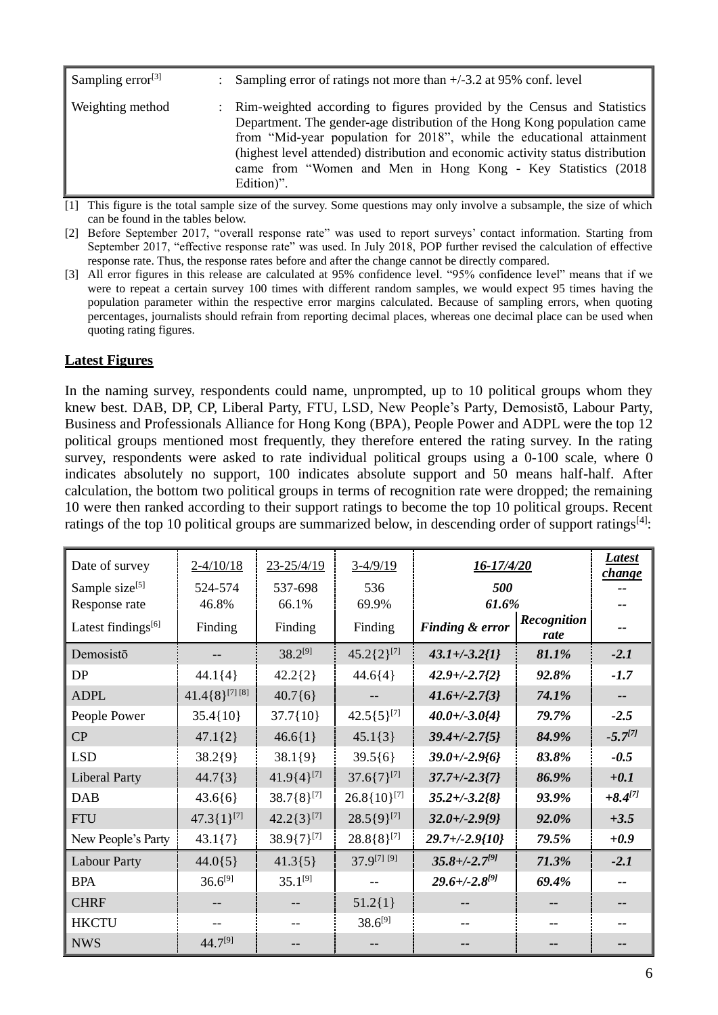| Sampling error $^{[3]}$ | : Sampling error of ratings not more than $+/-3.2$ at 95% conf. level                                                                                                                                                                                                                                                                                                                            |
|-------------------------|--------------------------------------------------------------------------------------------------------------------------------------------------------------------------------------------------------------------------------------------------------------------------------------------------------------------------------------------------------------------------------------------------|
| Weighting method        | : Rim-weighted according to figures provided by the Census and Statistics<br>Department. The gender-age distribution of the Hong Kong population came<br>from "Mid-year population for 2018", while the educational attainment<br>(highest level attended) distribution and economic activity status distribution<br>came from "Women and Men in Hong Kong - Key Statistics (2018)<br>Edition)". |

[1] This figure is the total sample size of the survey. Some questions may only involve a subsample, the size of which can be found in the tables below.

[2] Before September 2017, "overall response rate" was used to report surveys' contact information. Starting from September 2017, "effective response rate" was used. In July 2018, POP further revised the calculation of effective response rate. Thus, the response rates before and after the change cannot be directly compared.

[3] All error figures in this release are calculated at 95% confidence level. "95% confidence level" means that if we were to repeat a certain survey 100 times with different random samples, we would expect 95 times having the population parameter within the respective error margins calculated. Because of sampling errors, when quoting percentages, journalists should refrain from reporting decimal places, whereas one decimal place can be used when quoting rating figures.

### **Latest Figures**

In the naming survey, respondents could name, unprompted, up to 10 political groups whom they knew best. DAB, DP, CP, Liberal Party, FTU, LSD, New People's Party, Demosistō, Labour Party, Business and Professionals Alliance for Hong Kong (BPA), People Power and ADPL were the top 12 political groups mentioned most frequently, they therefore entered the rating survey. In the rating survey, respondents were asked to rate individual political groups using a 0-100 scale, where 0 indicates absolutely no support, 100 indicates absolute support and 50 means half-half. After calculation, the bottom two political groups in terms of recognition rate were dropped; the remaining 10 were then ranked according to their support ratings to become the top 10 political groups. Recent ratings of the top 10 political groups are summarized below, in descending order of support ratings<sup>[4]</sup>:

| Date of survey                 | $2 - 4/10/18$        | 23-25/4/19        | $3-4/9/19$              | <u>16-17/4/20</u>    |                            | <b>Latest</b><br><i>change</i> |
|--------------------------------|----------------------|-------------------|-------------------------|----------------------|----------------------------|--------------------------------|
| Sample size <sup>[5]</sup>     | 524-574              | 537-698           | 536                     | 500                  |                            |                                |
| Response rate                  | 46.8%                | 66.1%             | 69.9%                   | 61.6%                |                            |                                |
| Latest findings <sup>[6]</sup> | Finding              | Finding           | Finding                 | Finding & error      | <b>Recognition</b><br>rate |                                |
| Demosistō                      |                      | $38.2^{[9]}$      | $45.2\{2\}^{[7]}$       | $43.1 + (-3.2)$      | 81.1%                      | $-2.1$                         |
| DP                             | $44.1\{4\}$          | $42.2{2}$         | $44.6{4}$               | $42.9 + (-2.7 {2})$  | 92.8%                      | $-1.7$                         |
| <b>ADPL</b>                    | $41.4\{8\}^{[7][8]}$ | $40.7\{6\}$       |                         | $41.6 + (-2.7)^3$    | 74.1%                      |                                |
| People Power                   | $35.4\{10\}$         | $37.7\{10\}$      | $42.5\{5\}^{[7]}$       | $40.0 + (-3.0)4$     | 79.7%                      | $-2.5$                         |
| CP                             | $47.1\{2\}$          | $46.6{1}$         | $45.1\{3\}$             | $39.4 + (-2.75)$     | 84.9%                      | $-5.7^{[7]}$                   |
| <b>LSD</b>                     | $38.2{9}$            | $38.1{9}$         | $39.5{6}$               | $39.0 + (-2.96)$     | 83.8%                      | $-0.5$                         |
| <b>Liberal Party</b>           | $44.7\{3\}$          | $41.9{4}^{[7]}$   | $37.6\{7\}^{[7]}$       | $37.7 + (-2.3)7$     | 86.9%                      | $+0.1$                         |
| <b>DAB</b>                     | $43.6{6}$            | $38.7\{8\}^{[7]}$ | $26.8\{10\}^{[7]}$      | $35.2 + (-3.2/8)$    | 93.9%                      | $+8.4^{[7]}$                   |
| <b>FTU</b>                     | $47.3\{1\}^{[7]}$    | $42.2\{3\}^{[7]}$ | $28.5\{9\}^{[7]}$       | $32.0 + (-2.9)^9$    | 92.0%                      | $+3.5$                         |
| New People's Party             | $43.1\{7\}$          | $38.9\{7\}^{[7]}$ | $28.8\{8\}^{[7]}$       | $29.7 + (-2.9{10}$   | 79.5%                      | $+0.9$                         |
| <b>Labour Party</b>            | $44.0\{5\}$          | $41.3{5}$         | 37.9 <sup>[7]</sup> [9] | $35.8 + (-2.7^{97})$ | 71.3%                      | $-2.1$                         |
| <b>BPA</b>                     | $36.6^{[9]}$         | $35.1^{[9]}$      |                         | $29.6 + (-2.8^{97})$ | 69.4%                      |                                |
| <b>CHRF</b>                    |                      |                   | $51.2$ {1}              |                      |                            |                                |
| <b>HKCTU</b>                   |                      |                   | $38.6^{[9]}$            |                      |                            |                                |
| <b>NWS</b>                     | 44.7[9]              |                   |                         |                      |                            |                                |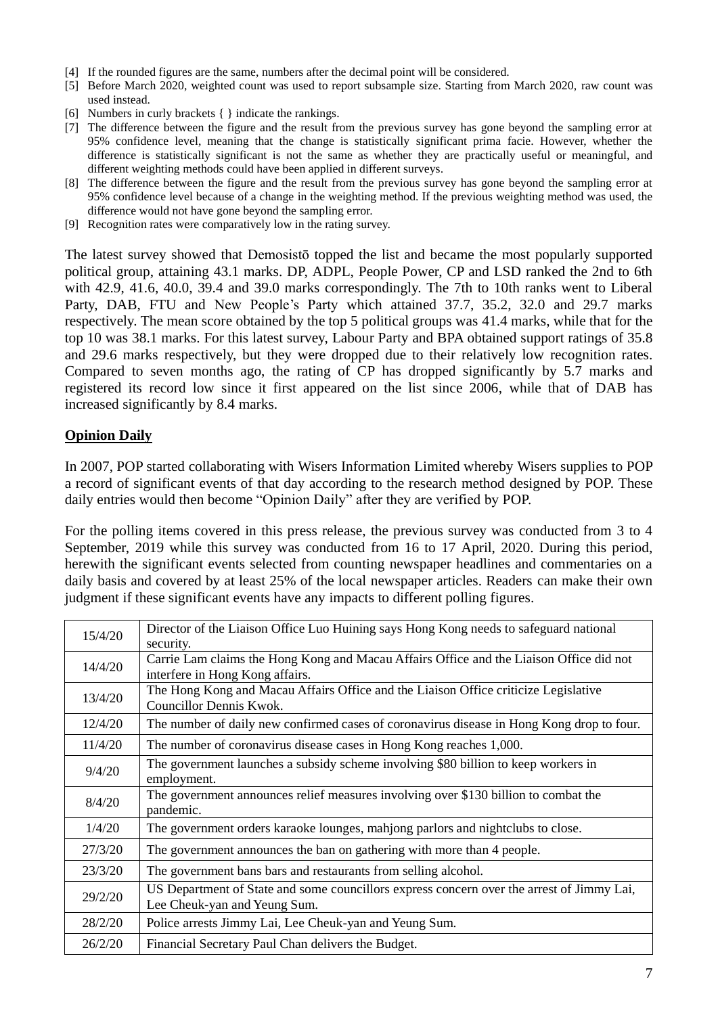- [4] If the rounded figures are the same, numbers after the decimal point will be considered.
- [5] Before March 2020, weighted count was used to report subsample size. Starting from March 2020, raw count was used instead.
- [6] Numbers in curly brackets { } indicate the rankings.
- [7] The difference between the figure and the result from the previous survey has gone beyond the sampling error at 95% confidence level, meaning that the change is statistically significant prima facie. However, whether the difference is statistically significant is not the same as whether they are practically useful or meaningful, and different weighting methods could have been applied in different surveys.
- [8] The difference between the figure and the result from the previous survey has gone beyond the sampling error at 95% confidence level because of a change in the weighting method. If the previous weighting method was used, the difference would not have gone beyond the sampling error.
- [9] Recognition rates were comparatively low in the rating survey.

The latest survey showed that Demosistō topped the list and became the most popularly supported political group, attaining 43.1 marks. DP, ADPL, People Power, CP and LSD ranked the 2nd to 6th with 42.9, 41.6, 40.0, 39.4 and 39.0 marks correspondingly. The 7th to 10th ranks went to Liberal Party, DAB, FTU and New People's Party which attained 37.7, 35.2, 32.0 and 29.7 marks respectively. The mean score obtained by the top 5 political groups was 41.4 marks, while that for the top 10 was 38.1 marks. For this latest survey, Labour Party and BPA obtained support ratings of 35.8 and 29.6 marks respectively, but they were dropped due to their relatively low recognition rates. Compared to seven months ago, the rating of CP has dropped significantly by 5.7 marks and registered its record low since it first appeared on the list since 2006, while that of DAB has increased significantly by 8.4 marks.

### **Opinion Daily**

In 2007, POP started collaborating with Wisers Information Limited whereby Wisers supplies to POP a record of significant events of that day according to the research method designed by POP. These daily entries would then become "Opinion Daily" after they are verified by POP.

For the polling items covered in this press release, the previous survey was conducted from 3 to 4 September, 2019 while this survey was conducted from 16 to 17 April, 2020. During this period, herewith the significant events selected from counting newspaper headlines and commentaries on a daily basis and covered by at least 25% of the local newspaper articles. Readers can make their own judgment if these significant events have any impacts to different polling figures.

| 15/4/20 | Director of the Liaison Office Luo Huining says Hong Kong needs to safeguard national<br>security.                         |
|---------|----------------------------------------------------------------------------------------------------------------------------|
| 14/4/20 | Carrie Lam claims the Hong Kong and Macau Affairs Office and the Liaison Office did not<br>interfere in Hong Kong affairs. |
| 13/4/20 | The Hong Kong and Macau Affairs Office and the Liaison Office criticize Legislative<br>Councillor Dennis Kwok.             |
| 12/4/20 | The number of daily new confirmed cases of coronavirus disease in Hong Kong drop to four.                                  |
| 11/4/20 | The number of coronavirus disease cases in Hong Kong reaches 1,000.                                                        |
| 9/4/20  | The government launches a subsidy scheme involving \$80 billion to keep workers in<br>employment.                          |
| 8/4/20  | The government announces relief measures involving over \$130 billion to combat the<br>pandemic.                           |
| 1/4/20  | The government orders karaoke lounges, mahjong parlors and nightclubs to close.                                            |
| 27/3/20 | The government announces the ban on gathering with more than 4 people.                                                     |
| 23/3/20 | The government bans bars and restaurants from selling alcohol.                                                             |
| 29/2/20 | US Department of State and some councillors express concern over the arrest of Jimmy Lai,<br>Lee Cheuk-yan and Yeung Sum.  |
| 28/2/20 | Police arrests Jimmy Lai, Lee Cheuk-yan and Yeung Sum.                                                                     |
| 26/2/20 | Financial Secretary Paul Chan delivers the Budget.                                                                         |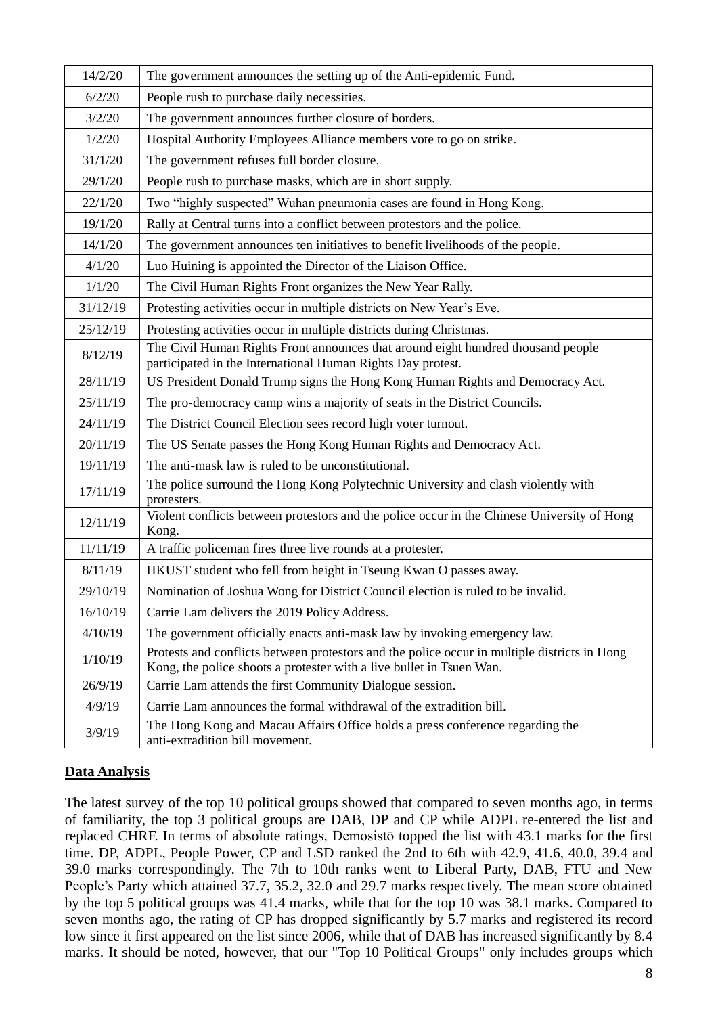| 14/2/20  | The government announces the setting up of the Anti-epidemic Fund.                                                                                                   |
|----------|----------------------------------------------------------------------------------------------------------------------------------------------------------------------|
| 6/2/20   | People rush to purchase daily necessities.                                                                                                                           |
| 3/2/20   | The government announces further closure of borders.                                                                                                                 |
| 1/2/20   | Hospital Authority Employees Alliance members vote to go on strike.                                                                                                  |
| 31/1/20  | The government refuses full border closure.                                                                                                                          |
| 29/1/20  | People rush to purchase masks, which are in short supply.                                                                                                            |
| 22/1/20  | Two "highly suspected" Wuhan pneumonia cases are found in Hong Kong.                                                                                                 |
| 19/1/20  | Rally at Central turns into a conflict between protestors and the police.                                                                                            |
| 14/1/20  | The government announces ten initiatives to benefit livelihoods of the people.                                                                                       |
| 4/1/20   | Luo Huining is appointed the Director of the Liaison Office.                                                                                                         |
| 1/1/20   | The Civil Human Rights Front organizes the New Year Rally.                                                                                                           |
| 31/12/19 | Protesting activities occur in multiple districts on New Year's Eve.                                                                                                 |
| 25/12/19 | Protesting activities occur in multiple districts during Christmas.                                                                                                  |
| 8/12/19  | The Civil Human Rights Front announces that around eight hundred thousand people<br>participated in the International Human Rights Day protest.                      |
| 28/11/19 | US President Donald Trump signs the Hong Kong Human Rights and Democracy Act.                                                                                        |
| 25/11/19 | The pro-democracy camp wins a majority of seats in the District Councils.                                                                                            |
| 24/11/19 | The District Council Election sees record high voter turnout.                                                                                                        |
| 20/11/19 | The US Senate passes the Hong Kong Human Rights and Democracy Act.                                                                                                   |
| 19/11/19 | The anti-mask law is ruled to be unconstitutional.                                                                                                                   |
| 17/11/19 | The police surround the Hong Kong Polytechnic University and clash violently with<br>protesters.                                                                     |
| 12/11/19 | Violent conflicts between protestors and the police occur in the Chinese University of Hong<br>Kong.                                                                 |
| 11/11/19 | A traffic policeman fires three live rounds at a protester.                                                                                                          |
| 8/11/19  | HKUST student who fell from height in Tseung Kwan O passes away.                                                                                                     |
| 29/10/19 | Nomination of Joshua Wong for District Council election is ruled to be invalid.                                                                                      |
| 16/10/19 | Carrie Lam delivers the 2019 Policy Address.                                                                                                                         |
| 4/10/19  | The government officially enacts anti-mask law by invoking emergency law.                                                                                            |
| 1/10/19  | Protests and conflicts between protestors and the police occur in multiple districts in Hong<br>Kong, the police shoots a protester with a live bullet in Tsuen Wan. |
| 26/9/19  | Carrie Lam attends the first Community Dialogue session.                                                                                                             |
| 4/9/19   | Carrie Lam announces the formal withdrawal of the extradition bill.                                                                                                  |
| 3/9/19   | The Hong Kong and Macau Affairs Office holds a press conference regarding the<br>anti-extradition bill movement.                                                     |

### **Data Analysis**

The latest survey of the top 10 political groups showed that compared to seven months ago, in terms of familiarity, the top 3 political groups are DAB, DP and CP while ADPL re-entered the list and replaced CHRF. In terms of absolute ratings, Demosistō topped the list with 43.1 marks for the first time. DP, ADPL, People Power, CP and LSD ranked the 2nd to 6th with 42.9, 41.6, 40.0, 39.4 and 39.0 marks correspondingly. The 7th to 10th ranks went to Liberal Party, DAB, FTU and New People's Party which attained 37.7, 35.2, 32.0 and 29.7 marks respectively. The mean score obtained by the top 5 political groups was 41.4 marks, while that for the top 10 was 38.1 marks. Compared to seven months ago, the rating of CP has dropped significantly by 5.7 marks and registered its record low since it first appeared on the list since 2006, while that of DAB has increased significantly by 8.4 marks. It should be noted, however, that our "Top 10 Political Groups" only includes groups which